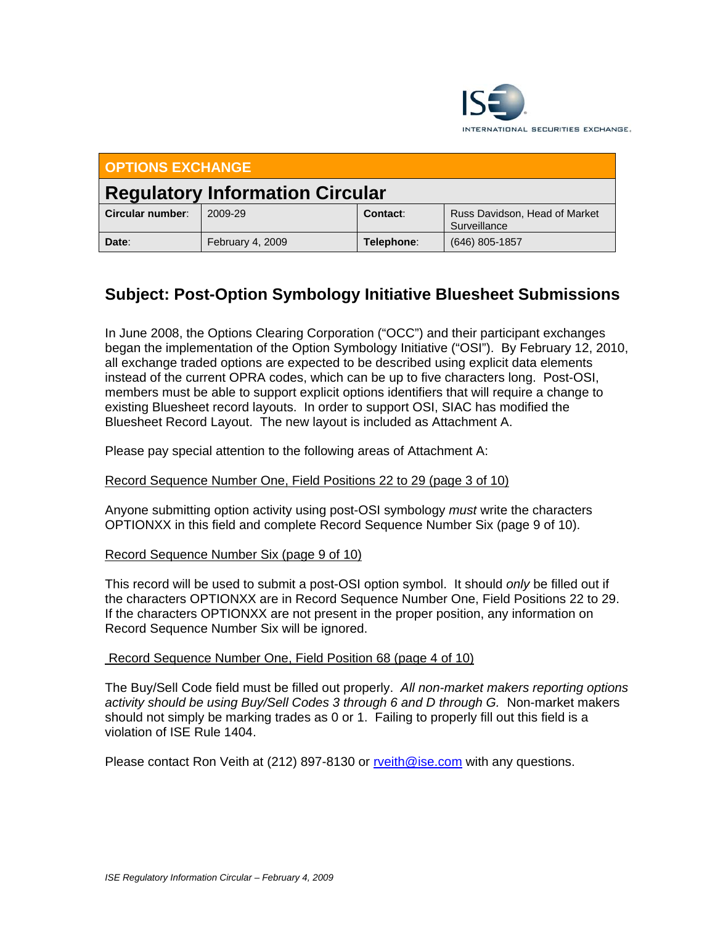

| <b>OPTIONS EXCHANGE</b>                |                  |            |                                               |  |  |  |  |  |
|----------------------------------------|------------------|------------|-----------------------------------------------|--|--|--|--|--|
| <b>Regulatory Information Circular</b> |                  |            |                                               |  |  |  |  |  |
| Circular number:                       | 2009-29          | Contact:   | Russ Davidson, Head of Market<br>Surveillance |  |  |  |  |  |
| Date:                                  | February 4, 2009 | Telephone: | $(646)$ 805-1857                              |  |  |  |  |  |

# **Subject: Post-Option Symbology Initiative Bluesheet Submissions**

In June 2008, the Options Clearing Corporation ("OCC") and their participant exchanges began the implementation of the Option Symbology Initiative ("OSI"). By February 12, 2010, all exchange traded options are expected to be described using explicit data elements instead of the current OPRA codes, which can be up to five characters long. Post-OSI, members must be able to support explicit options identifiers that will require a change to existing Bluesheet record layouts. In order to support OSI, SIAC has modified the Bluesheet Record Layout. The new layout is included as Attachment A.

Please pay special attention to the following areas of Attachment A:

### Record Sequence Number One, Field Positions 22 to 29 (page 3 of 10)

Anyone submitting option activity using post-OSI symbology *must* write the characters OPTIONXX in this field and complete Record Sequence Number Six (page 9 of 10).

#### Record Sequence Number Six (page 9 of 10)

This record will be used to submit a post-OSI option symbol. It should *only* be filled out if the characters OPTIONXX are in Record Sequence Number One, Field Positions 22 to 29. If the characters OPTIONXX are not present in the proper position, any information on Record Sequence Number Six will be ignored.

#### Record Sequence Number One, Field Position 68 (page 4 of 10)

The Buy/Sell Code field must be filled out properly. *All non-market makers reporting options activity should be using Buy/Sell Codes 3 through 6 and D through G.* Non-market makers should not simply be marking trades as 0 or 1. Failing to properly fill out this field is a violation of ISE Rule 1404.

Please contact Ron Veith at (212) 897-8130 or rveith@ise.com with any questions.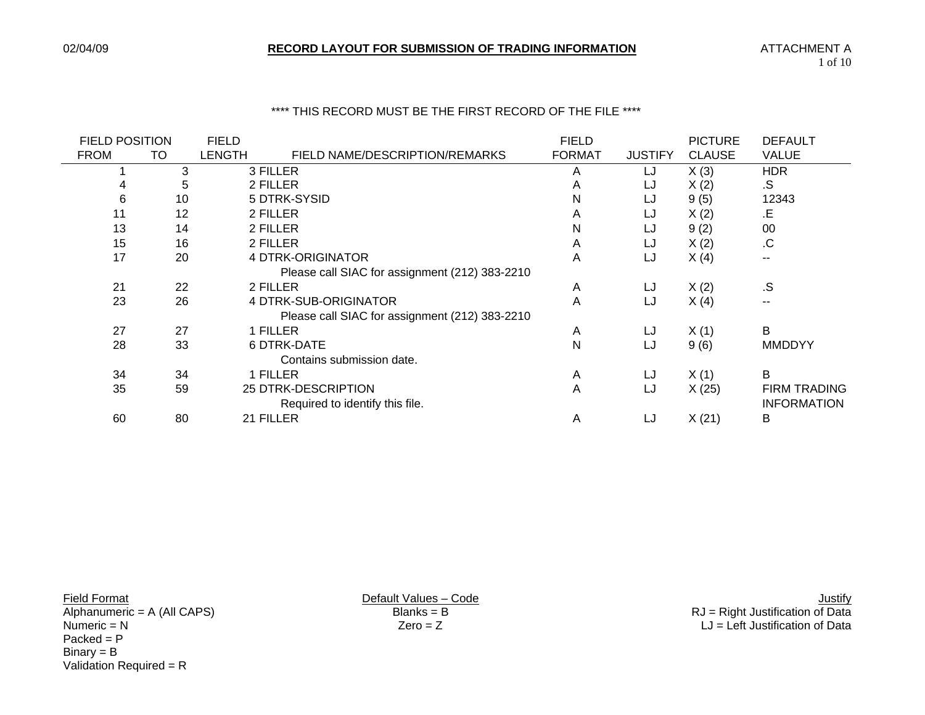#### \*\*\*\* THIS RECORD MUST BE THE FIRST RECORD OF THE FILE \*\*\*\*

| <b>FIELD POSITION</b> |    | <b>FIELD</b> |                                                | <b>FIELD</b>  |                | <b>PICTURE</b> | <b>DEFAULT</b>      |
|-----------------------|----|--------------|------------------------------------------------|---------------|----------------|----------------|---------------------|
| <b>FROM</b>           | TO | LENGTH       | FIELD NAME/DESCRIPTION/REMARKS                 | <b>FORMAT</b> | <b>JUSTIFY</b> | <b>CLAUSE</b>  | <b>VALUE</b>        |
|                       | 3  |              | 3 FILLER                                       | A             | LJ             | X(3)           | <b>HDR</b>          |
|                       | 5  |              | 2 FILLER                                       | A             | LJ             | X(2)           | .S                  |
| 6                     | 10 |              | 5 DTRK-SYSID                                   | N             | LJ             | 9(5)           | 12343               |
| 11                    | 12 |              | 2 FILLER                                       | A             | LJ             | X(2)           | .E                  |
| 13                    | 14 |              | 2 FILLER                                       | N             | LJ             | 9(2)           | 00                  |
| 15                    | 16 |              | 2 FILLER                                       | A             | LJ             | X(2)           | .C                  |
| 17                    | 20 |              | 4 DTRK-ORIGINATOR                              | A             | LJ             | X(4)           | --                  |
|                       |    |              | Please call SIAC for assignment (212) 383-2210 |               |                |                |                     |
| 21                    | 22 |              | 2 FILLER                                       | A             | LJ             | X(2)           | .S                  |
| 23                    | 26 |              | 4 DTRK-SUB-ORIGINATOR                          | A             | LJ             | X(4)           | $\sim$ $\sim$       |
|                       |    |              | Please call SIAC for assignment (212) 383-2210 |               |                |                |                     |
| 27                    | 27 |              | 1 FILLER                                       | A             | LJ             | X(1)           | В                   |
| 28                    | 33 |              | <b>6 DTRK-DATE</b>                             | N             | LJ             | 9(6)           | <b>MMDDYY</b>       |
|                       |    |              | Contains submission date.                      |               |                |                |                     |
| 34                    | 34 |              | 1 FILLER                                       | Α             | LJ             | X(1)           | B                   |
| 35                    | 59 |              | 25 DTRK-DESCRIPTION                            | A             | LJ             | X(25)          | <b>FIRM TRADING</b> |
|                       |    |              | Required to identify this file.                |               |                |                | <b>INFORMATION</b>  |
| 60                    | 80 |              | 21 FILLER                                      | A             | LJ             | X(21)          | B                   |
|                       |    |              |                                                |               |                |                |                     |

Packed = P Binary = B Validation Required =  $R$ 

Lives – Code<br>
Manumeric = A (All CAPS) Default Values – Code<br>
Blanks = B<br>
Blanks = B<br>
Default Values – Code<br>
Default Values – Code<br>
Blanks = B<br>
Default Values – Code<br>
Default Values – Code<br>
Default Values – Code<br>
Default V Alphanumeric = A (All CAPS) Blanks = B RJ = Right Justification of Data Numeric = N Zero = Z LJ = Left Justification of Data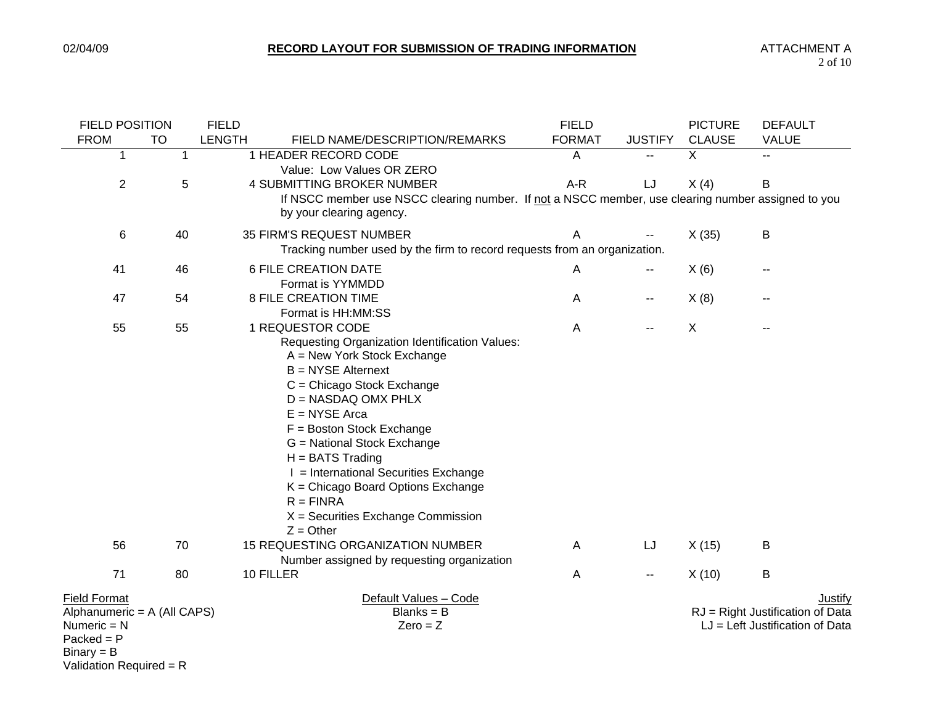| <b>FIELD POSITION</b>                                                                               |             | <b>FIELD</b>  |                                                                                                                                                                                                                                                                                                                                                                                                                                                       | <b>FIELD</b>  |                          | <b>PICTURE</b> | <b>DEFAULT</b>                                                                   |
|-----------------------------------------------------------------------------------------------------|-------------|---------------|-------------------------------------------------------------------------------------------------------------------------------------------------------------------------------------------------------------------------------------------------------------------------------------------------------------------------------------------------------------------------------------------------------------------------------------------------------|---------------|--------------------------|----------------|----------------------------------------------------------------------------------|
| <b>FROM</b>                                                                                         | <b>TO</b>   | <b>LENGTH</b> | FIELD NAME/DESCRIPTION/REMARKS                                                                                                                                                                                                                                                                                                                                                                                                                        | <b>FORMAT</b> | <b>JUSTIFY</b>           | <b>CLAUSE</b>  | <b>VALUE</b>                                                                     |
| 1                                                                                                   | $\mathbf 1$ |               | 1 HEADER RECORD CODE<br>Value: Low Values OR ZERO                                                                                                                                                                                                                                                                                                                                                                                                     | A             |                          | X              | --                                                                               |
| $\overline{2}$                                                                                      | 5           |               | 4 SUBMITTING BROKER NUMBER                                                                                                                                                                                                                                                                                                                                                                                                                            | A-R           | LJ                       | X(4)           | B                                                                                |
|                                                                                                     |             |               | If NSCC member use NSCC clearing number. If not a NSCC member, use clearing number assigned to you<br>by your clearing agency.                                                                                                                                                                                                                                                                                                                        |               |                          |                |                                                                                  |
| 6                                                                                                   | 40          |               | 35 FIRM'S REQUEST NUMBER<br>Tracking number used by the firm to record requests from an organization.                                                                                                                                                                                                                                                                                                                                                 | A             |                          | X(35)          | B                                                                                |
| 41                                                                                                  | 46          |               | <b>6 FILE CREATION DATE</b><br>Format is YYMMDD                                                                                                                                                                                                                                                                                                                                                                                                       | A             | $\overline{\phantom{a}}$ | X(6)           |                                                                                  |
| 47                                                                                                  | 54          |               | <b>8 FILE CREATION TIME</b><br>Format is HH:MM:SS                                                                                                                                                                                                                                                                                                                                                                                                     | A             | $\overline{\phantom{a}}$ | X(8)           |                                                                                  |
| 55                                                                                                  | 55          |               | 1 REQUESTOR CODE<br>Requesting Organization Identification Values:<br>$A = New York Stock Exchange$<br><b>B</b> = NYSE Alternext<br>C = Chicago Stock Exchange<br>$D = NASDAQ$ OMX PHLX<br>$E = NYSE$ Arca<br>$F = Boston Stock Exchange$<br>G = National Stock Exchange<br>$H = BATS$ Trading<br>I = International Securities Exchange<br>$K =$ Chicago Board Options Exchange<br>$R = FINRA$<br>$X =$ Securities Exchange Commission<br>$Z =$ Other | Α             | $\mathbf{u}$             | $\times$       |                                                                                  |
| 56                                                                                                  | 70          |               | 15 REQUESTING ORGANIZATION NUMBER<br>Number assigned by requesting organization                                                                                                                                                                                                                                                                                                                                                                       | Α             | LJ                       | X(15)          | B                                                                                |
| 71                                                                                                  | 80          |               | 10 FILLER                                                                                                                                                                                                                                                                                                                                                                                                                                             | A             | $\sim$ $-$               | X(10)          | $\sf B$                                                                          |
| <b>Field Format</b><br>Alphanumeric = A (All CAPS)<br>Numeric $= N$<br>$Packet = P$<br>$Binary = B$ |             |               | Default Values - Code<br>$Blanks = B$<br>$Zero = Z$                                                                                                                                                                                                                                                                                                                                                                                                   |               |                          |                | Justify<br>RJ = Right Justification of Data<br>$LJ = Left$ Justification of Data |

Validation Required = R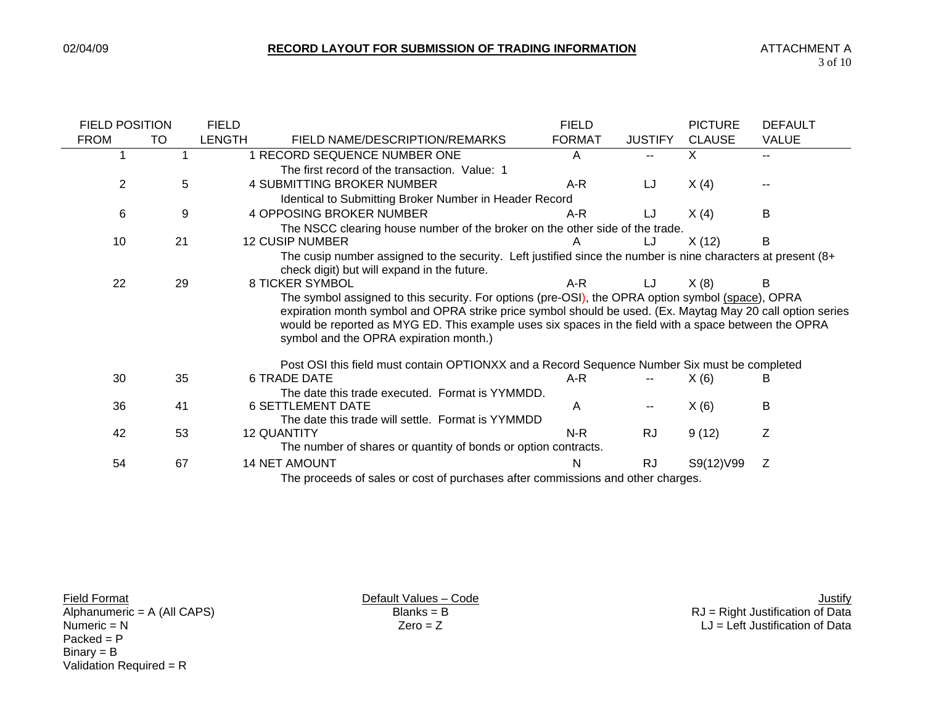| <b>FIELD POSITION</b> |                                                                                 | <b>FIELD</b> |                                                                                                                                                                                                                                                                                                                                                                   | <b>FIELD</b>  |                | <b>PICTURE</b> | <b>DEFAULT</b> |  |  |
|-----------------------|---------------------------------------------------------------------------------|--------------|-------------------------------------------------------------------------------------------------------------------------------------------------------------------------------------------------------------------------------------------------------------------------------------------------------------------------------------------------------------------|---------------|----------------|----------------|----------------|--|--|
| <b>FROM</b>           | TO                                                                              | LENGTH       | FIELD NAME/DESCRIPTION/REMARKS                                                                                                                                                                                                                                                                                                                                    | <b>FORMAT</b> | <b>JUSTIFY</b> | <b>CLAUSE</b>  | <b>VALUE</b>   |  |  |
|                       |                                                                                 |              | 1 RECORD SEQUENCE NUMBER ONE                                                                                                                                                                                                                                                                                                                                      | A             |                | X.             | $-$            |  |  |
|                       |                                                                                 |              | The first record of the transaction. Value: 1                                                                                                                                                                                                                                                                                                                     |               |                |                |                |  |  |
| 2                     | 5                                                                               |              | <b>4 SUBMITTING BROKER NUMBER</b>                                                                                                                                                                                                                                                                                                                                 | $A-R$         | LJ             | X(4)           |                |  |  |
|                       |                                                                                 |              | Identical to Submitting Broker Number in Header Record                                                                                                                                                                                                                                                                                                            |               |                |                |                |  |  |
| 6                     | 9                                                                               |              | <b>4 OPPOSING BROKER NUMBER</b>                                                                                                                                                                                                                                                                                                                                   | A-R           | LJ             | X(4)           | B              |  |  |
|                       |                                                                                 |              | The NSCC clearing house number of the broker on the other side of the trade.                                                                                                                                                                                                                                                                                      |               |                |                |                |  |  |
| 10                    | 21                                                                              |              | <b>12 CUSIP NUMBER</b>                                                                                                                                                                                                                                                                                                                                            |               | LJ             | X(12)          | B              |  |  |
|                       |                                                                                 |              | The cusip number assigned to the security. Left justified since the number is nine characters at present (8+<br>check digit) but will expand in the future.                                                                                                                                                                                                       |               |                |                |                |  |  |
| 22                    | 29                                                                              |              | <b>8 TICKER SYMBOL</b>                                                                                                                                                                                                                                                                                                                                            | A-R           | LJ             | X(8)           | В              |  |  |
|                       |                                                                                 |              | The symbol assigned to this security. For options (pre-OSI), the OPRA option symbol (space), OPRA<br>expiration month symbol and OPRA strike price symbol should be used. (Ex. Maytag May 20 call option series<br>would be reported as MYG ED. This example uses six spaces in the field with a space between the OPRA<br>symbol and the OPRA expiration month.) |               |                |                |                |  |  |
|                       |                                                                                 |              | Post OSI this field must contain OPTIONXX and a Record Sequence Number Six must be completed                                                                                                                                                                                                                                                                      |               |                |                |                |  |  |
| 30                    | 35                                                                              |              | <b>6 TRADE DATE</b>                                                                                                                                                                                                                                                                                                                                               | A-R           |                | X(6)           | В              |  |  |
|                       |                                                                                 |              | The date this trade executed. Format is YYMMDD.                                                                                                                                                                                                                                                                                                                   |               |                |                |                |  |  |
| 36                    | 41                                                                              |              | <b>6 SETTLEMENT DATE</b>                                                                                                                                                                                                                                                                                                                                          | A             | --             | X(6)           | B              |  |  |
|                       |                                                                                 |              | The date this trade will settle. Format is YYMMDD                                                                                                                                                                                                                                                                                                                 |               |                |                |                |  |  |
| 42                    | 53                                                                              |              | <b>12 QUANTITY</b>                                                                                                                                                                                                                                                                                                                                                | N-R           | <b>RJ</b>      | 9(12)          | Z              |  |  |
|                       |                                                                                 |              | The number of shares or quantity of bonds or option contracts.                                                                                                                                                                                                                                                                                                    |               |                |                |                |  |  |
| 54                    | 67                                                                              |              | <b>14 NET AMOUNT</b>                                                                                                                                                                                                                                                                                                                                              | N             | <b>RJ</b>      | S9(12)V99      | Z              |  |  |
|                       | The proceeds of sales or cost of purchases after commissions and other charges. |              |                                                                                                                                                                                                                                                                                                                                                                   |               |                |                |                |  |  |

 $Packet = P$  $Binary = B$ Validation Required = R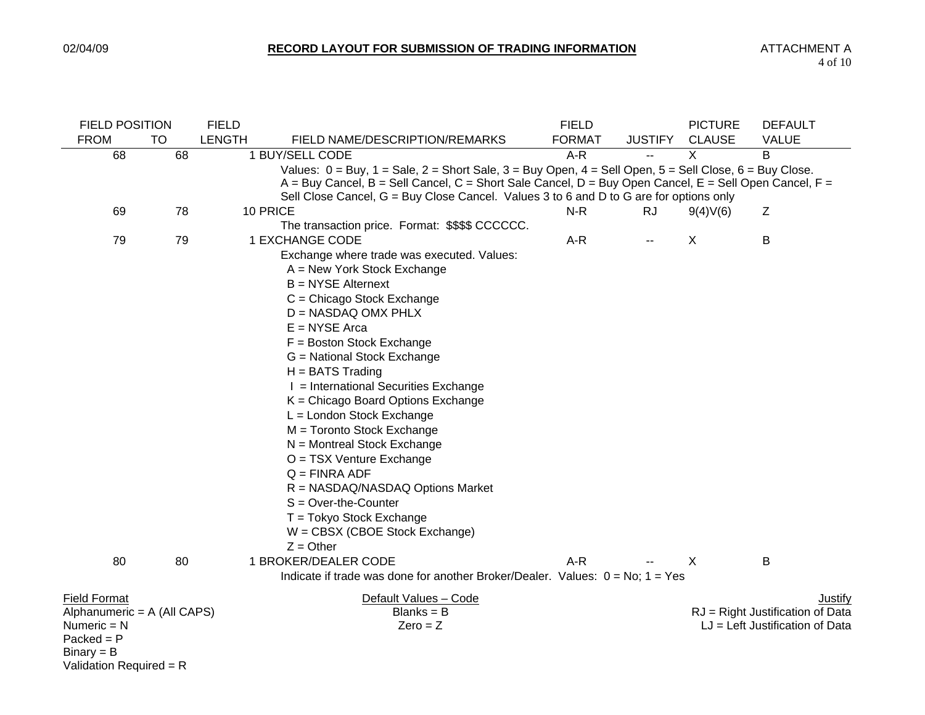| <b>FIELD POSITION</b>       |           | <b>FIELD</b>  |                                                                                                                        | <b>FIELD</b>  |                | <b>PICTURE</b> | <b>DEFAULT</b>                    |
|-----------------------------|-----------|---------------|------------------------------------------------------------------------------------------------------------------------|---------------|----------------|----------------|-----------------------------------|
| <b>FROM</b>                 | <b>TO</b> | <b>LENGTH</b> | FIELD NAME/DESCRIPTION/REMARKS                                                                                         | <b>FORMAT</b> | <b>JUSTIFY</b> | <b>CLAUSE</b>  | <b>VALUE</b>                      |
| 68                          | 68        |               | 1 BUY/SELL CODE                                                                                                        | $A-R$         | $\overline{a}$ | $\sf X$        | B                                 |
|                             |           |               | Values: $0 = Buy$ , $1 = Sale$ , $2 = Short$ Sale, $3 = Buy$ Open, $4 = Sell$ Open, $5 = Sell$ Close, $6 = Buy$ Close. |               |                |                |                                   |
|                             |           |               | $A = Buy$ Cancel, $B = Sell$ Cancel, $C =$ Short Sale Cancel, $D = Buy$ Open Cancel, $E = Sell$ Open Cancel, $F =$     |               |                |                |                                   |
|                             |           |               | Sell Close Cancel, G = Buy Close Cancel. Values 3 to 6 and D to G are for options only                                 |               |                |                |                                   |
| 69                          | 78        |               | 10 PRICE                                                                                                               | $N-R$         | <b>RJ</b>      | 9(4)V(6)       | Z                                 |
|                             |           |               | The transaction price. Format: \$\$\$\$ CCCCCC.                                                                        |               |                |                |                                   |
| 79                          | 79        |               | 1 EXCHANGE CODE                                                                                                        | $A-R$         | --             | X              | B                                 |
|                             |           |               | Exchange where trade was executed. Values:                                                                             |               |                |                |                                   |
|                             |           |               | A = New York Stock Exchange                                                                                            |               |                |                |                                   |
|                             |           |               | $B = NYSE$ Alternext                                                                                                   |               |                |                |                                   |
|                             |           |               | $C =$ Chicago Stock Exchange                                                                                           |               |                |                |                                   |
|                             |           |               | $D = NASDAQ OMX PHLX$                                                                                                  |               |                |                |                                   |
|                             |           |               | $E = NYSE$ Arca                                                                                                        |               |                |                |                                   |
|                             |           |               | $F = Boston Stock Exchange$                                                                                            |               |                |                |                                   |
|                             |           |               | G = National Stock Exchange                                                                                            |               |                |                |                                   |
|                             |           |               | $H = BATS$ Trading                                                                                                     |               |                |                |                                   |
|                             |           |               | I = International Securities Exchange                                                                                  |               |                |                |                                   |
|                             |           |               | $K =$ Chicago Board Options Exchange                                                                                   |               |                |                |                                   |
|                             |           |               | L = London Stock Exchange                                                                                              |               |                |                |                                   |
|                             |           |               | M = Toronto Stock Exchange                                                                                             |               |                |                |                                   |
|                             |           |               | N = Montreal Stock Exchange                                                                                            |               |                |                |                                   |
|                             |           |               | O = TSX Venture Exchange                                                                                               |               |                |                |                                   |
|                             |           |               | $Q = FINRA$ ADF                                                                                                        |               |                |                |                                   |
|                             |           |               | R = NASDAQ/NASDAQ Options Market                                                                                       |               |                |                |                                   |
|                             |           |               | $S = Over-the-Counter$                                                                                                 |               |                |                |                                   |
|                             |           |               | T = Tokyo Stock Exchange                                                                                               |               |                |                |                                   |
|                             |           |               | W = CBSX (CBOE Stock Exchange)                                                                                         |               |                |                |                                   |
|                             |           |               | $Z =$ Other                                                                                                            |               |                |                |                                   |
| 80                          | 80        |               | 1 BROKER/DEALER CODE                                                                                                   | $A-R$         |                | X              | B                                 |
|                             |           |               | Indicate if trade was done for another Broker/Dealer. Values: $0 = No$ ; $1 = Yes$                                     |               |                |                |                                   |
| <b>Field Format</b>         |           |               | Default Values - Code                                                                                                  |               |                |                | Justify                           |
| Alphanumeric = A (All CAPS) |           |               | $Blanks = B$                                                                                                           |               |                |                | RJ = Right Justification of Data  |
| Numeric $= N$               |           |               | $Zero = Z$                                                                                                             |               |                |                | $LJ = Left$ Justification of Data |
| $Packet = P$                |           |               |                                                                                                                        |               |                |                |                                   |
| $Binary = B$                |           |               |                                                                                                                        |               |                |                |                                   |
| Validation Required = R     |           |               |                                                                                                                        |               |                |                |                                   |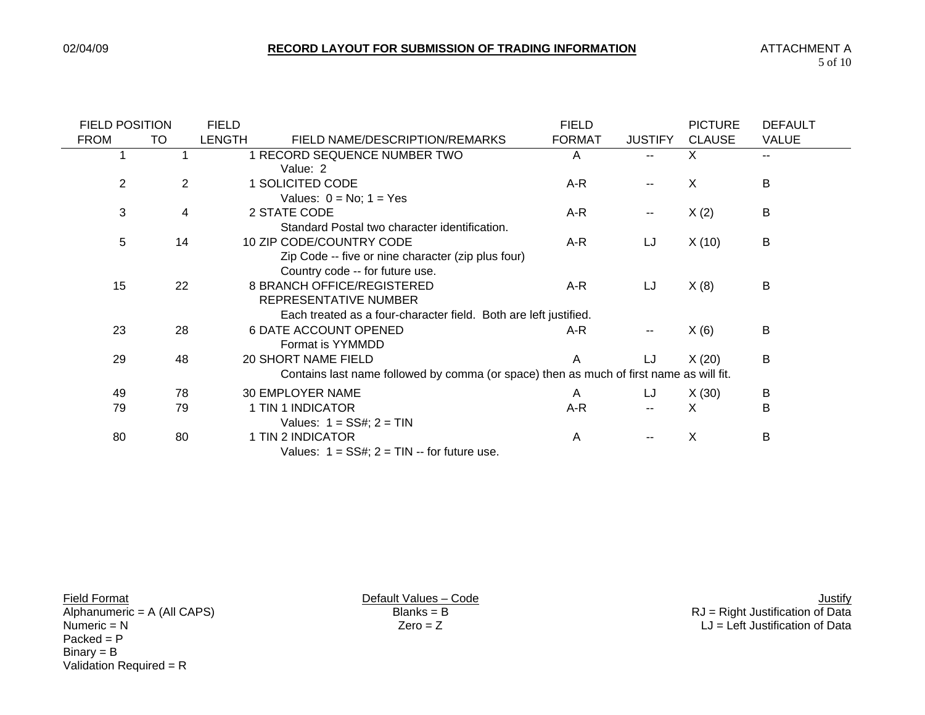| <b>FIELD POSITION</b> |    | <b>FIELD</b>  |                                                                                                                | <b>FIELD</b>  |                | <b>PICTURE</b> | <b>DEFAULT</b> |
|-----------------------|----|---------------|----------------------------------------------------------------------------------------------------------------|---------------|----------------|----------------|----------------|
| <b>FROM</b>           | TO | <b>LENGTH</b> | FIELD NAME/DESCRIPTION/REMARKS                                                                                 | <b>FORMAT</b> | <b>JUSTIFY</b> | <b>CLAUSE</b>  | <b>VALUE</b>   |
|                       |    |               | 1 RECORD SEQUENCE NUMBER TWO<br>Value: 2                                                                       | A             |                | X              | $\sim$ $\sim$  |
| $\overline{2}$        | 2  |               | 1 SOLICITED CODE<br>Values: $0 = No$ ; $1 = Yes$                                                               | A-R           |                | X              | B              |
| 3                     | 4  |               | 2 STATE CODE<br>Standard Postal two character identification.                                                  | A-R           | $\sim$         | X(2)           | B              |
| 5                     | 14 |               | 10 ZIP CODE/COUNTRY CODE<br>Zip Code -- five or nine character (zip plus four)                                 | A-R           | LJ             | X(10)          | B              |
| 15                    | 22 |               | Country code -- for future use.<br>8 BRANCH OFFICE/REGISTERED<br>REPRESENTATIVE NUMBER                         | A-R           | LJ             | X(8)           | B              |
|                       |    |               | Each treated as a four-character field. Both are left justified.                                               |               |                |                |                |
| 23                    | 28 |               | <b>6 DATE ACCOUNT OPENED</b><br>Format is YYMMDD                                                               | A-R           |                | X(6)           | В              |
| 29                    | 48 |               | 20 SHORT NAME FIELD<br>Contains last name followed by comma (or space) then as much of first name as will fit. | A             | LJ             | X(20)          | B              |
|                       |    |               |                                                                                                                |               |                |                |                |
| 49                    | 78 |               | 30 EMPLOYER NAME                                                                                               | A             | LJ             | X(30)          | B              |
| 79                    | 79 |               | 1 TIN 1 INDICATOR<br>Values: $1 = SS#$ ; $2 = TIN$                                                             | $A-R$         |                | X              | B              |
| 80                    | 80 |               | 1 TIN 2 INDICATOR<br>Values: $1 = SS#$ ; $2 = TIN -$ for future use.                                           | A             |                | X              | B              |

 $Packet = P$  $Binary = B$ Validation Required = R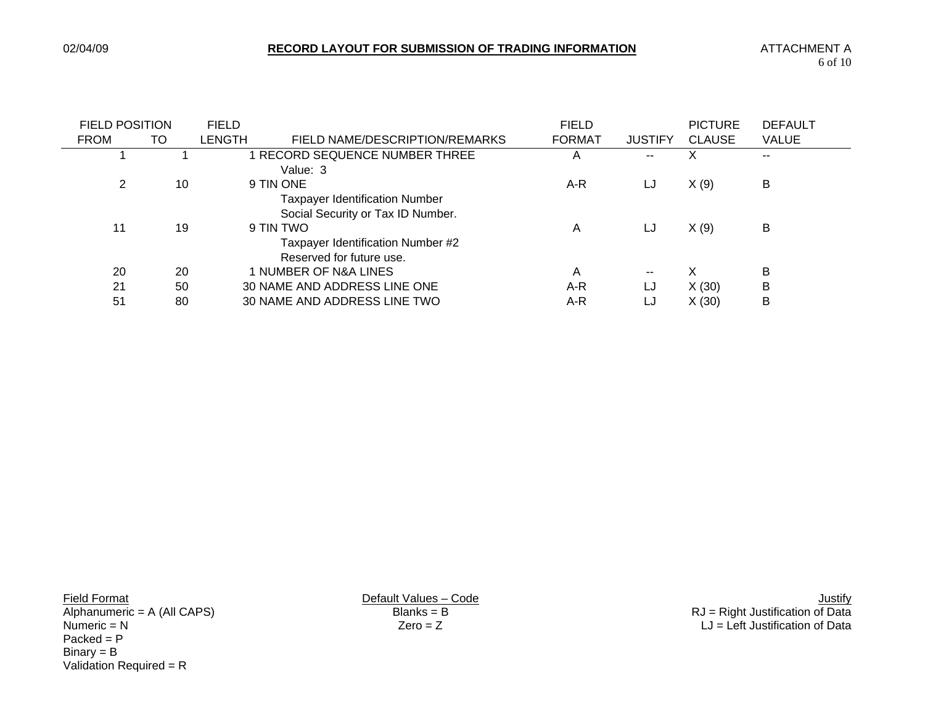| <b>FIELD POSITION</b> |    | <b>FIELD</b> |                                                                                         | <b>FIELD</b>  |                | <b>PICTURE</b> | <b>DEFAULT</b> |
|-----------------------|----|--------------|-----------------------------------------------------------------------------------------|---------------|----------------|----------------|----------------|
| <b>FROM</b>           | TO | LENGTH       | FIELD NAME/DESCRIPTION/REMARKS                                                          | <b>FORMAT</b> | <b>JUSTIFY</b> | <b>CLAUSE</b>  | <b>VALUE</b>   |
|                       |    |              | RECORD SEQUENCE NUMBER THREE<br>Value: 3                                                | Α             | --             | x              | $\sim$ $\sim$  |
| 2                     | 10 |              | 9 TIN ONE<br><b>Taxpayer Identification Number</b><br>Social Security or Tax ID Number. | A-R           | LJ             | X(9)           | B              |
| 11                    | 19 |              | 9 TIN TWO<br>Taxpayer Identification Number #2<br>Reserved for future use.              | A             | LJ             | X(9)           | B              |
| 20                    | 20 |              | 1 NUMBER OF N&A LINES                                                                   | A             | $- -$          | X              | B              |
| 21                    | 50 |              | 30 NAME AND ADDRESS LINE ONE                                                            | A-R           | LJ             | X(30)          | B              |
| 51                    | 80 |              | 30 NAME AND ADDRESS LINE TWO                                                            | A-R           | LJ             | X(30)          | B              |

 $Packet = P$  $Binary = B$ Validation Required = R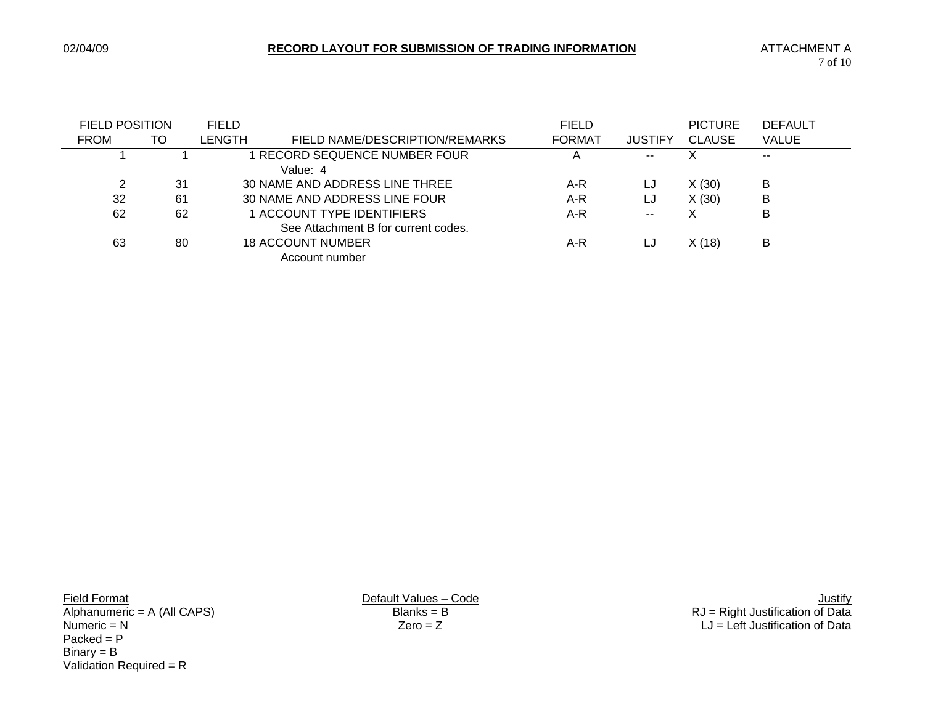| <b>FIELD POSITION</b> |    | <b>FIELD</b>  |                                     | <b>FIELD</b>  |                | <b>PICTURE</b> | <b>DEFAULT</b>           |
|-----------------------|----|---------------|-------------------------------------|---------------|----------------|----------------|--------------------------|
| <b>FROM</b>           | TO | <b>LENGTH</b> | FIELD NAME/DESCRIPTION/REMARKS      | <b>FORMAT</b> | <b>JUSTIFY</b> | <b>CLAUSE</b>  | <b>VALUE</b>             |
|                       |    |               | RECORD SEQUENCE NUMBER FOUR         | A             | --             | X              | $\overline{\phantom{a}}$ |
|                       |    |               | Value: 4                            |               |                |                |                          |
| 2                     | 31 |               | 30 NAME AND ADDRESS LINE THREE      | A-R           | LJ             | X(30)          | B                        |
| 32                    | 61 |               | 30 NAME AND ADDRESS LINE FOUR       | A-R           | LJ             | X(30)          | B                        |
| 62                    | 62 |               | 1 ACCOUNT TYPE IDENTIFIERS          | A-R           | $- -$          | Χ              | B                        |
|                       |    |               | See Attachment B for current codes. |               |                |                |                          |
| 63                    | 80 |               | <b>18 ACCOUNT NUMBER</b>            | A-R           | LJ             | X(18)          | в                        |
|                       |    |               | Account number                      |               |                |                |                          |

 $Packet = P$  $Binary = B$ Validation Required = R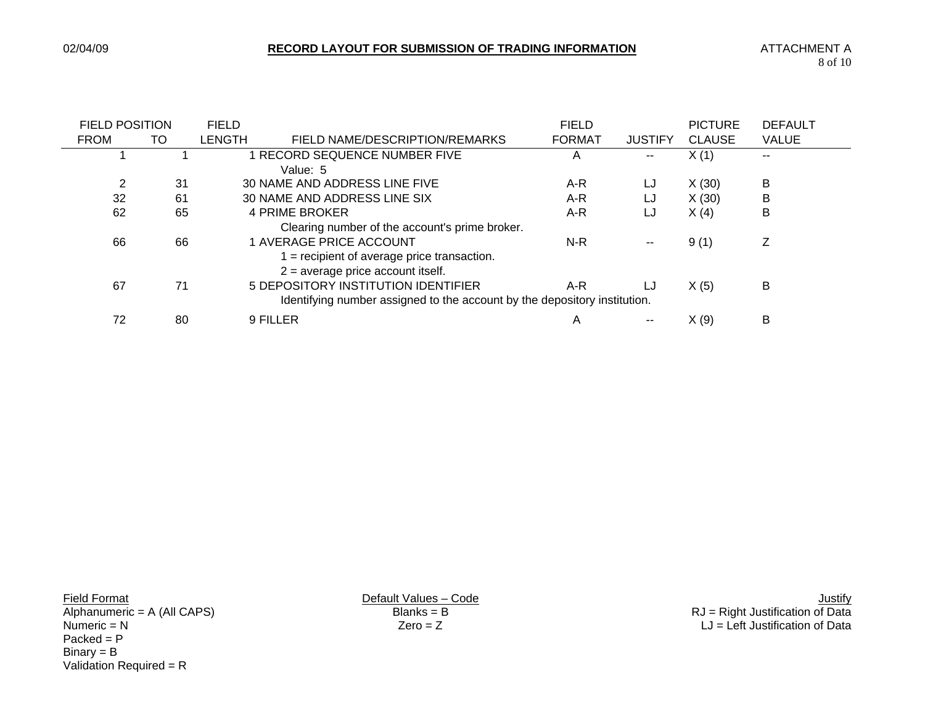| <b>FIELD POSITION</b> |    | <b>FIELD</b> |                                                                           | <b>FIELD</b>  |                | <b>PICTURE</b> | <b>DEFAULT</b> |
|-----------------------|----|--------------|---------------------------------------------------------------------------|---------------|----------------|----------------|----------------|
| <b>FROM</b>           | TO | LENGTH       | FIELD NAME/DESCRIPTION/REMARKS                                            | <b>FORMAT</b> | <b>JUSTIFY</b> | <b>CLAUSE</b>  | <b>VALUE</b>   |
|                       |    |              | RECORD SEQUENCE NUMBER FIVE                                               | Α             | --             | X(1)           | $\sim$         |
|                       |    |              | Value: 5                                                                  |               |                |                |                |
| 2                     | 31 |              | 30 NAME AND ADDRESS LINE FIVE                                             | A-R           | LJ             | X(30)          | в              |
| 32                    | 61 |              | 30 NAME AND ADDRESS LINE SIX                                              | A-R           | LJ             | X(30)          | B              |
| 62                    | 65 |              | 4 PRIME BROKER                                                            | A-R           | LJ             | X(4)           | B              |
|                       |    |              | Clearing number of the account's prime broker.                            |               |                |                |                |
| 66                    | 66 |              | 1 AVERAGE PRICE ACCOUNT                                                   | N-R           | $\sim$         | 9(1)           | Ζ              |
|                       |    |              | $=$ recipient of average price transaction.                               |               |                |                |                |
|                       |    |              | $2$ = average price account itself.                                       |               |                |                |                |
| 67                    | 71 |              | 5 DEPOSITORY INSTITUTION IDENTIFIER                                       | A-R           | LJ             | X(5)           | в              |
|                       |    |              | Identifying number assigned to the account by the depository institution. |               |                |                |                |
| 72                    | 80 |              | 9 FILLER                                                                  | Α             | $ -$           | X(9)           | B              |

 $Packet = P$  $Binary = B$ Validation Required = R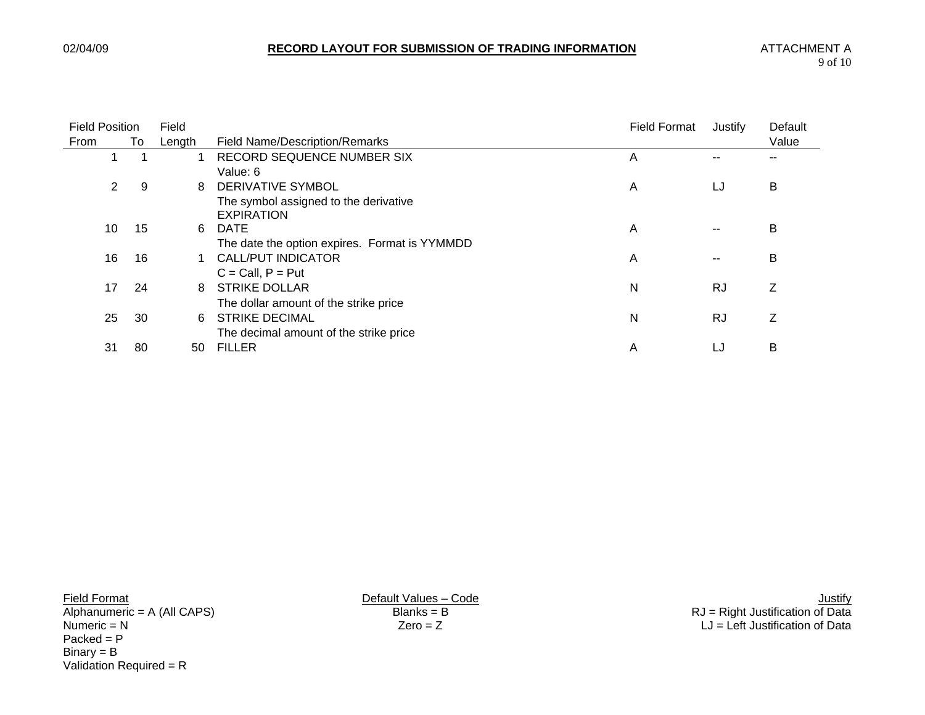| <b>Field Position</b> |    | Field  |                                               | <b>Field Format</b> | Justify   | Default |
|-----------------------|----|--------|-----------------------------------------------|---------------------|-----------|---------|
| From                  | To | Length | <b>Field Name/Description/Remarks</b>         |                     |           | Value   |
|                       |    |        | RECORD SEQUENCE NUMBER SIX                    | A                   |           |         |
|                       |    |        | Value: 6                                      |                     |           |         |
| 2                     | 9  | 8      | DERIVATIVE SYMBOL                             | A                   | LJ        | B       |
|                       |    |        | The symbol assigned to the derivative         |                     |           |         |
|                       |    |        | <b>EXPIRATION</b>                             |                     |           |         |
| 10                    | 15 | 6      | <b>DATE</b>                                   | A                   | --        | В       |
|                       |    |        | The date the option expires. Format is YYMMDD |                     |           |         |
| 16                    | 16 |        | CALL/PUT INDICATOR                            | A                   | $- -$     | B       |
|                       |    |        | $C = Call, P = Put$                           |                     |           |         |
| 17                    | 24 | 8      | <b>STRIKE DOLLAR</b>                          | N                   | <b>RJ</b> | Ζ       |
|                       |    |        | The dollar amount of the strike price         |                     |           |         |
| 25                    | 30 | 6      | <b>STRIKE DECIMAL</b>                         | N                   | <b>RJ</b> | Ζ       |
|                       |    |        | The decimal amount of the strike price        |                     |           |         |
| 31                    | 80 | 50     | <b>FILLER</b>                                 | Α                   | LJ        | B       |

 $Packet = P$  $Binary = B$ Validation Required = R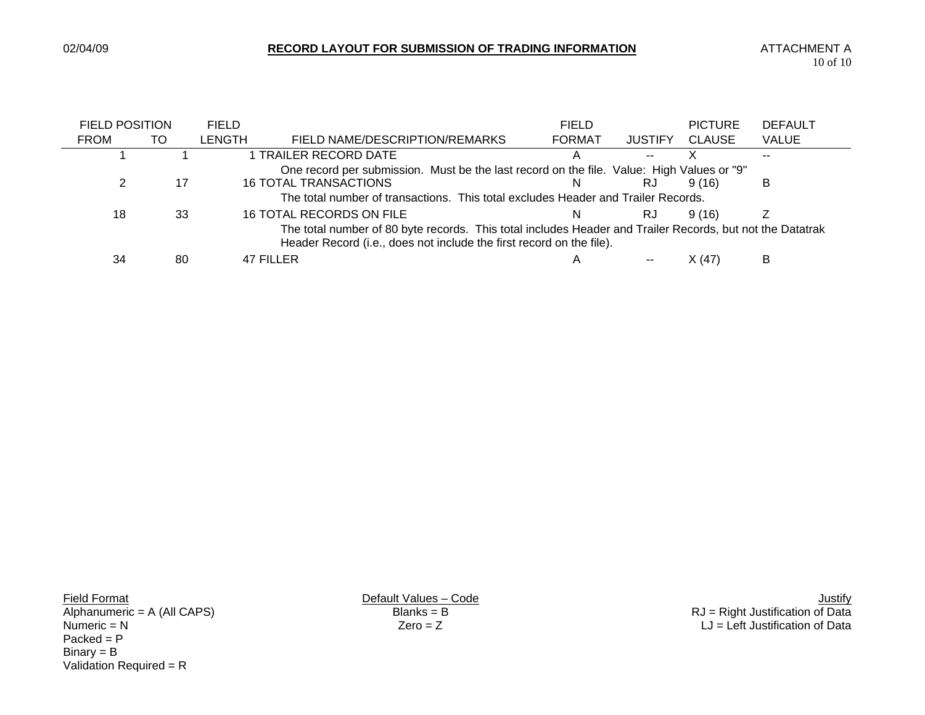-

|                                                                                                                                                                                                                                                                                                                                                                                                                                                                                                                               |    | <b>FIELD</b>  |                                | <b>FIELD</b>  |                | <b>PICTURE</b> | <b>DEFAULT</b> |
|-------------------------------------------------------------------------------------------------------------------------------------------------------------------------------------------------------------------------------------------------------------------------------------------------------------------------------------------------------------------------------------------------------------------------------------------------------------------------------------------------------------------------------|----|---------------|--------------------------------|---------------|----------------|----------------|----------------|
| <b>FROM</b>                                                                                                                                                                                                                                                                                                                                                                                                                                                                                                                   | TO | <b>LENGTH</b> | FIELD NAME/DESCRIPTION/REMARKS | <b>FORMAT</b> | <b>JUSTIFY</b> | <b>CLAUSE</b>  | <b>VALUE</b>   |
|                                                                                                                                                                                                                                                                                                                                                                                                                                                                                                                               |    |               |                                |               | --             |                |                |
|                                                                                                                                                                                                                                                                                                                                                                                                                                                                                                                               |    |               |                                |               |                |                |                |
|                                                                                                                                                                                                                                                                                                                                                                                                                                                                                                                               | 17 |               |                                | N             | RJ             | 9 (16)         | B              |
|                                                                                                                                                                                                                                                                                                                                                                                                                                                                                                                               |    |               |                                |               |                |                |                |
| 18                                                                                                                                                                                                                                                                                                                                                                                                                                                                                                                            | 33 |               |                                | N.            | RJ             | 9(16)          |                |
| <b>FIELD POSITION</b><br>1 TRAILER RECORD DATE<br>One record per submission. Must be the last record on the file. Value: High Values or "9"<br><b>16 TOTAL TRANSACTIONS</b><br>The total number of transactions. This total excludes Header and Trailer Records.<br>16 TOTAL RECORDS ON FILE<br>The total number of 80 byte records. This total includes Header and Trailer Records, but not the Datatrak<br>Header Record (i.e., does not include the first record on the file).<br>34<br>47 FILLER<br>B<br>80<br>X(47)<br>A |    |               |                                |               |                |                |                |
|                                                                                                                                                                                                                                                                                                                                                                                                                                                                                                                               |    |               |                                |               |                |                |                |

 $Packet = P$  $Binary = B$ Validation Required = R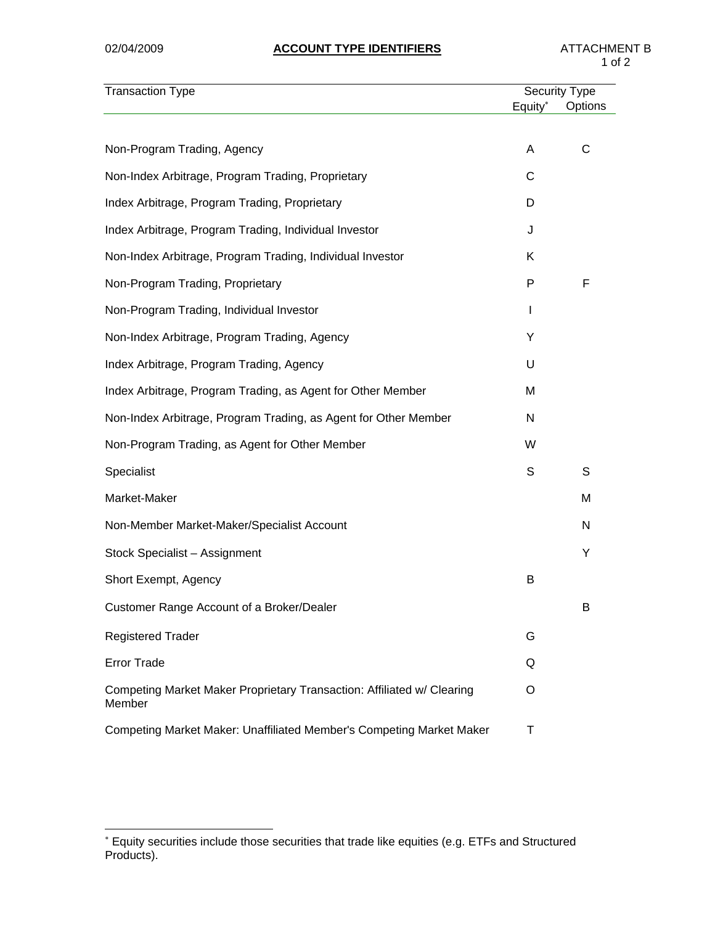| <b>Transaction Type</b>                                                          |                     | <b>Security Type</b> |
|----------------------------------------------------------------------------------|---------------------|----------------------|
|                                                                                  | Equity <sup>*</sup> | Options              |
|                                                                                  |                     |                      |
| Non-Program Trading, Agency                                                      | A                   | С                    |
| Non-Index Arbitrage, Program Trading, Proprietary                                | С                   |                      |
| Index Arbitrage, Program Trading, Proprietary                                    | D                   |                      |
| Index Arbitrage, Program Trading, Individual Investor                            | J                   |                      |
| Non-Index Arbitrage, Program Trading, Individual Investor                        | Κ                   |                      |
| Non-Program Trading, Proprietary                                                 | P                   | F                    |
| Non-Program Trading, Individual Investor                                         | L                   |                      |
| Non-Index Arbitrage, Program Trading, Agency                                     | Y                   |                      |
| Index Arbitrage, Program Trading, Agency                                         | U                   |                      |
| Index Arbitrage, Program Trading, as Agent for Other Member                      | M                   |                      |
| Non-Index Arbitrage, Program Trading, as Agent for Other Member                  | N                   |                      |
| Non-Program Trading, as Agent for Other Member                                   | W                   |                      |
| Specialist                                                                       | S                   | S                    |
| Market-Maker                                                                     |                     | M                    |
| Non-Member Market-Maker/Specialist Account                                       |                     | N                    |
| Stock Specialist - Assignment                                                    |                     | Υ                    |
| Short Exempt, Agency                                                             | B                   |                      |
| Customer Range Account of a Broker/Dealer                                        |                     | B                    |
| <b>Registered Trader</b>                                                         | G                   |                      |
| <b>Error Trade</b>                                                               | Q                   |                      |
| Competing Market Maker Proprietary Transaction: Affiliated w/ Clearing<br>Member | O                   |                      |
| Competing Market Maker: Unaffiliated Member's Competing Market Maker             | Τ                   |                      |

 ∗ Equity securities include those securities that trade like equities (e.g. ETFs and Structured Products).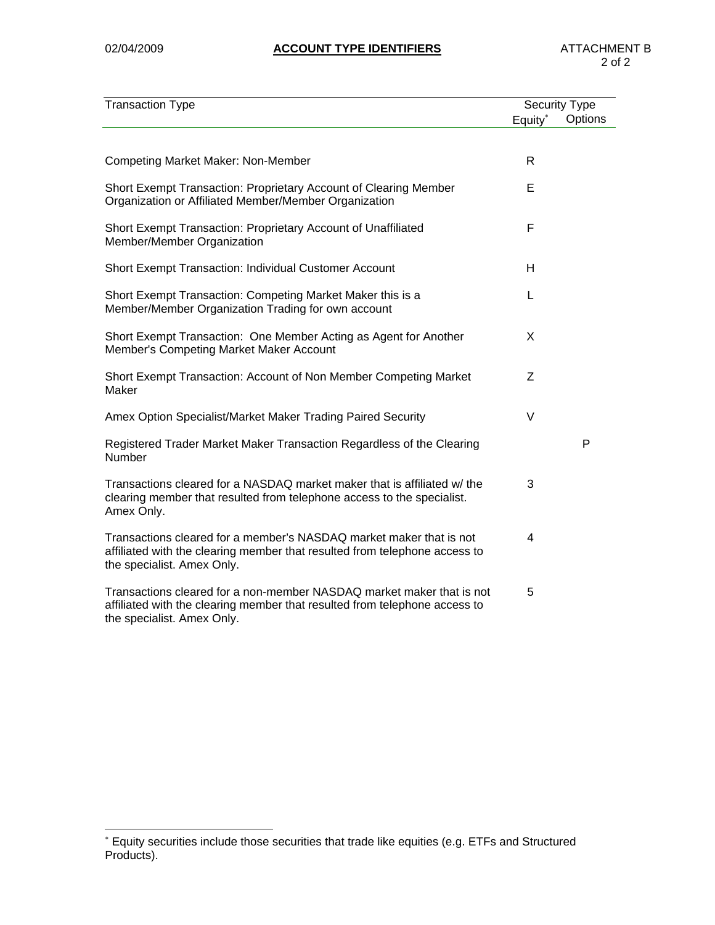| <b>Transaction Type</b>                                                                                                                                                           | <b>Security Type</b> |         |
|-----------------------------------------------------------------------------------------------------------------------------------------------------------------------------------|----------------------|---------|
|                                                                                                                                                                                   | Equity*              | Options |
|                                                                                                                                                                                   |                      |         |
| <b>Competing Market Maker: Non-Member</b>                                                                                                                                         | R                    |         |
| Short Exempt Transaction: Proprietary Account of Clearing Member<br>Organization or Affiliated Member/Member Organization                                                         | Е                    |         |
| Short Exempt Transaction: Proprietary Account of Unaffiliated<br>Member/Member Organization                                                                                       | F                    |         |
| Short Exempt Transaction: Individual Customer Account                                                                                                                             | н                    |         |
| Short Exempt Transaction: Competing Market Maker this is a<br>Member/Member Organization Trading for own account                                                                  | L                    |         |
| Short Exempt Transaction: One Member Acting as Agent for Another<br>Member's Competing Market Maker Account                                                                       | X                    |         |
| Short Exempt Transaction: Account of Non Member Competing Market<br>Maker                                                                                                         | Z                    |         |
| Amex Option Specialist/Market Maker Trading Paired Security                                                                                                                       | $\vee$               |         |
| Registered Trader Market Maker Transaction Regardless of the Clearing<br>Number                                                                                                   |                      | P       |
| Transactions cleared for a NASDAQ market maker that is affiliated w/ the<br>clearing member that resulted from telephone access to the specialist.<br>Amex Only.                  | 3                    |         |
| Transactions cleared for a member's NASDAQ market maker that is not<br>affiliated with the clearing member that resulted from telephone access to<br>the specialist. Amex Only.   | $\overline{4}$       |         |
| Transactions cleared for a non-member NASDAQ market maker that is not<br>affiliated with the clearing member that resulted from telephone access to<br>the specialist. Amex Only. | 5                    |         |

 ∗ Equity securities include those securities that trade like equities (e.g. ETFs and Structured Products).